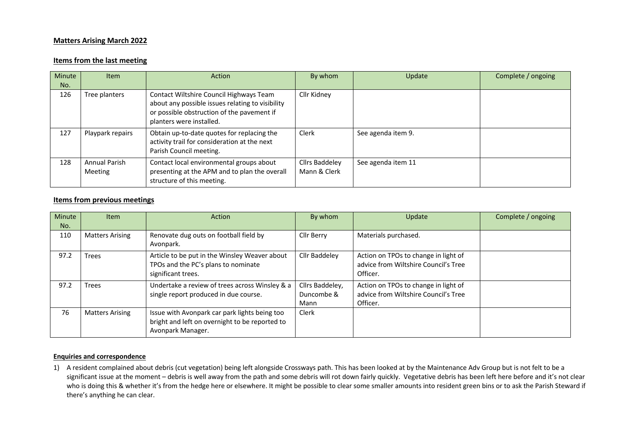## **Matters Arising March 2022**

## **Items from the last meeting**

| Minute<br>No. | <b>Item</b>                            | Action                                                                                                                                                                | By whom                               | Update             | Complete / ongoing |
|---------------|----------------------------------------|-----------------------------------------------------------------------------------------------------------------------------------------------------------------------|---------------------------------------|--------------------|--------------------|
| 126           | Tree planters                          | Contact Wiltshire Council Highways Team<br>about any possible issues relating to visibility<br>or possible obstruction of the pavement if<br>planters were installed. | Cllr Kidney                           |                    |                    |
| 127           | Playpark repairs                       | Obtain up-to-date quotes for replacing the<br>activity trail for consideration at the next<br>Parish Council meeting.                                                 | Clerk                                 | See agenda item 9. |                    |
| 128           | <b>Annual Parish</b><br><b>Meeting</b> | Contact local environmental groups about<br>presenting at the APM and to plan the overall<br>structure of this meeting.                                               | <b>Cllrs Baddeley</b><br>Mann & Clerk | See agenda item 11 |                    |

## **Items from previous meetings**

| Minute<br>No. | <b>Item</b>            | Action                                                                                                               | By whom                               | Update                                                                                   | Complete / ongoing |
|---------------|------------------------|----------------------------------------------------------------------------------------------------------------------|---------------------------------------|------------------------------------------------------------------------------------------|--------------------|
| 110           | <b>Matters Arising</b> | Renovate dug outs on football field by<br>Avonpark.                                                                  | Cllr Berry                            | Materials purchased.                                                                     |                    |
| 97.2          | <b>Trees</b>           | Article to be put in the Winsley Weaver about<br>TPOs and the PC's plans to nominate<br>significant trees.           | Cllr Baddeley                         | Action on TPOs to change in light of<br>advice from Wiltshire Council's Tree<br>Officer. |                    |
| 97.2          | <b>Trees</b>           | Undertake a review of trees across Winsley & a<br>single report produced in due course.                              | Cllrs Baddeley,<br>Duncombe &<br>Mann | Action on TPOs to change in light of<br>advice from Wiltshire Council's Tree<br>Officer. |                    |
| 76            | <b>Matters Arising</b> | Issue with Avonpark car park lights being too<br>bright and left on overnight to be reported to<br>Avonpark Manager. | Clerk                                 |                                                                                          |                    |

## **Enquiries and correspondence**

1) A resident complained about debris (cut vegetation) being left alongside Crossways path. This has been looked at by the Maintenance Adv Group but is not felt to be a significant issue at the moment – debris is well away from the path and some debris will rot down fairly quickly. Vegetative debris has been left here before and it's not clear who is doing this & whether it's from the hedge here or elsewhere. It might be possible to clear some smaller amounts into resident green bins or to ask the Parish Steward if there's anything he can clear.